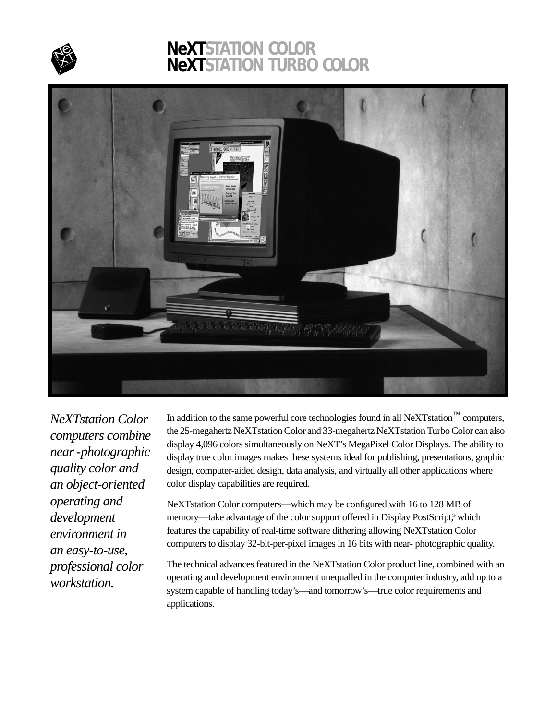

# **NeXTSTATION COLOR NeXTSTATION TURBO COLOR**



*NeXTstation Color computers combine near - photographic quality color and an object-oriented operating and development environment in an easy-to-use, professional color workstation.*

In addition to the same powerful core technologies found in all NeXTstation<sup>™</sup> computers, the 25-megahertz NeXTstation Color and 33-megahertz NeXTstation Turbo Color can also display 4,096 colors simultaneously on NeXT's MegaPixel Color Displays. The ability to display true color images makes these systems ideal for publishing, presentations, graphic design, computer-aided design, data analysis, and virtually all other applications where color display capabilities are required.

NeXTstation Color computers—which may be configured with 16 to 128 MB of memory—take advantage of the color support offered in Display PostScript,<sup>®</sup> which features the capability of real-time software dithering allowing NeXTstation Color computers to display 32-bit-per-pixel images in 16 bits with near- photographic quality.

The technical advances featured in the NeXTstation Color product line, combined with an operating and development environment unequalled in the computer industry, add up to a system capable of handling today's—and tomorrow's—true color requirements and applications.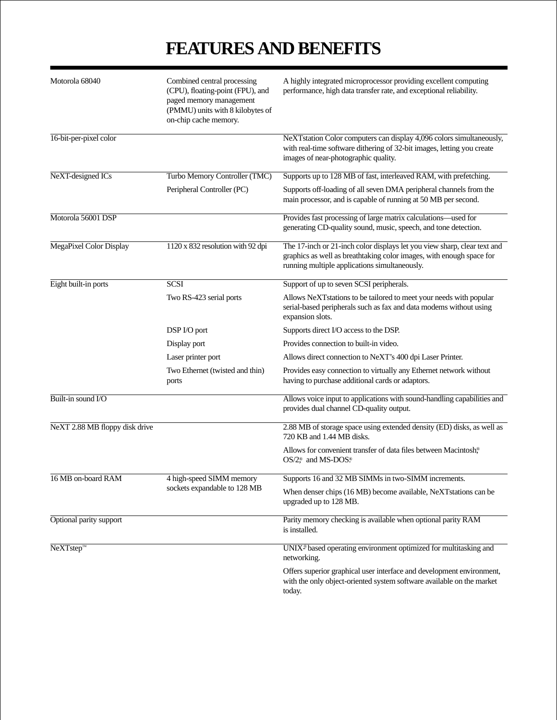# **FEATURES AND BENEFITS**

| Motorola 68040                 | Combined central processing<br>(CPU), floating-point (FPU), and<br>paged memory management<br>(PMMU) units with 8 kilobytes of<br>on-chip cache memory. | A highly integrated microprocessor providing excellent computing<br>performance, high data transfer rate, and exceptional reliability.                                                            |
|--------------------------------|---------------------------------------------------------------------------------------------------------------------------------------------------------|---------------------------------------------------------------------------------------------------------------------------------------------------------------------------------------------------|
| 16-bit-per-pixel color         |                                                                                                                                                         | NeXTstation Color computers can display 4,096 colors simultaneously,<br>with real-time software dithering of 32-bit images, letting you create<br>images of near-photographic quality.            |
| NeXT-designed ICs              | Turbo Memory Controller (TMC)                                                                                                                           | Supports up to 128 MB of fast, interleaved RAM, with prefetching.                                                                                                                                 |
|                                | Peripheral Controller (PC)                                                                                                                              | Supports off-loading of all seven DMA peripheral channels from the<br>main processor, and is capable of running at 50 MB per second.                                                              |
| Motorola 56001 DSP             |                                                                                                                                                         | Provides fast processing of large matrix calculations-used for<br>generating CD-quality sound, music, speech, and tone detection.                                                                 |
| MegaPixel Color Display        | 1120 x 832 resolution with 92 dpi                                                                                                                       | The 17-inch or 21-inch color displays let you view sharp, clear text and<br>graphics as well as breathtaking color images, with enough space for<br>running multiple applications simultaneously. |
| Eight built-in ports           | <b>SCSI</b>                                                                                                                                             | Support of up to seven SCSI peripherals.                                                                                                                                                          |
|                                | Two RS-423 serial ports                                                                                                                                 | Allows NeXTstations to be tailored to meet your needs with popular<br>serial-based peripherals such as fax and data modems without using<br>expansion slots.                                      |
|                                | DSP I/O port                                                                                                                                            | Supports direct I/O access to the DSP.                                                                                                                                                            |
|                                | Display port                                                                                                                                            | Provides connection to built-in video.                                                                                                                                                            |
|                                | Laser printer port                                                                                                                                      | Allows direct connection to NeXT's 400 dpi Laser Printer.                                                                                                                                         |
|                                | Two Ethernet (twisted and thin)<br>ports                                                                                                                | Provides easy connection to virtually any Ethernet network without<br>having to purchase additional cards or adaptors.                                                                            |
| Built-in sound I/O             |                                                                                                                                                         | Allows voice input to applications with sound-handling capabilities and<br>provides dual channel CD-quality output.                                                                               |
| NeXT 2.88 MB floppy disk drive |                                                                                                                                                         | 2.88 MB of storage space using extended density (ED) disks, as well as<br>720 KB and 1.44 MB disks.                                                                                               |
|                                |                                                                                                                                                         | Allows for convenient transfer of data files between Macintosh®<br>$OS/2$ <sup>®</sup> and MS-DOS <sup>®</sup>                                                                                    |
| 16 MB on-board RAM             | 4 high-speed SIMM memory<br>sockets expandable to 128 MB                                                                                                | Supports 16 and 32 MB SIMMs in two-SIMM increments.                                                                                                                                               |
|                                |                                                                                                                                                         | When denser chips (16 MB) become available, NeXT stations can be<br>upgraded up to 128 MB.                                                                                                        |
| Optional parity support        |                                                                                                                                                         | Parity memory checking is available when optional parity RAM<br>is installed.                                                                                                                     |
| $NeXTstep^{m}$                 |                                                                                                                                                         | UNIX <sup>®</sup> based operating environment optimized for multitasking and<br>networking.                                                                                                       |
|                                |                                                                                                                                                         | Offers superior graphical user interface and development environment,<br>with the only object-oriented system software available on the market<br>today.                                          |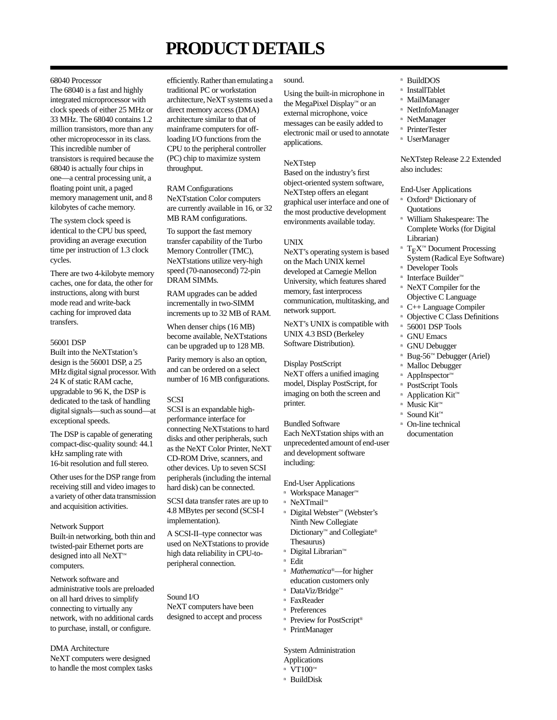# **PRODUCT DETAILS**

## 68040 Processor

The 68040 is a fast and highly integrated microprocessor with clock speeds of either 25 MHz or 33 MHz. The 68040 contains 1.2 million transistors, more than any other microprocessor in its class. This incredible number of transistors is required because the 68040 is actually four chips in one—a central processing unit, a floating point unit, a paged memory management unit, and 8 kilobytes of cache memory.

The system clock speed is identical to the CPU bus speed, providing an average execution time per instruction of 1.3 clock cycles.

There are two 4-kilobyte memory caches, one for data, the other for instructions, along with burst mode read and write-back caching for improved data transfers.

## 56001 DSP

Built into the NeXTstation's design is the 56001 DSP, a 25 MHz digital signal processor. With 24 K of static RAM cache, upgradable to 96 K, the DSP is dedicated to the task of handling digital signals—such as sound—at exceptional speeds.

The DSP is capable of generating compact-disc-quality sound: 44.1 kHz sampling rate with 16-bit resolution and full stereo.

Other uses for the DSP range from receiving still and video images to a variety of other data transmission and acquisition activities.

Network Support

Built-in networking, both thin and twisted-pair Ethernet ports are designed into all NeXT™ computers.

Network software and administrative tools are preloaded on all hard drives to simplify connecting to virtually any network, with no additional cards to purchase, install, or configure.

DMA Architecture

NeXT computers were designed to handle the most complex tasks efficiently. Rather than emulating a traditional PC or workstation architecture, NeXT systems used a direct memory access (DMA) architecture similar to that of mainframe computers for offloading I/O functions from the CPU to the peripheral controller (PC) chip to maximize system throughput.

RAM Configurations NeXTstation Color computers are currently available in 16, or 32 MB RAM configurations.

To support the fast memory transfer capability of the Turbo Memory Controller (TMC), NeXTstations utilize very-high speed (70-nanosecond) 72-pin DRAM SIMMs.

RAM upgrades can be added incrementally in two-SIMM increments up to 32 MB of RAM.

When denser chips (16 MB) become available, NeXTstations can be upgraded up to 128 MB.

Parity memory is also an option, and can be ordered on a select number of 16 MB configurations.

# **SCSI**

SCSI is an expandable highperformance interface for connecting NeXTstations to hard disks and other peripherals, such as the NeXT Color Printer, NeXT CD-ROM Drive, scanners, and other devices. Up to seven SCSI peripherals (including the internal hard disk) can be connected.

SCSI data transfer rates are up to 4.8 MBytes per second (SCSI-I implementation).

A SCSI-II–type connector was used on NeXTstations to provide high data reliability in CPU-toperipheral connection.

Sound I/O NeXT computers have been designed to accept and process

## sound.

Using the built-in microphone in the MegaPixel Display™ or an external microphone, voice messages can be easily added to electronic mail or used to annotate applications.

# NeXTstep

Based on the industry's first object-oriented system software, NeXTstep offers an elegant graphical user interface and one of the most productive development environments available today.

# UNIX

NeXT's operating system is based on the Mach UNIX kernel developed at Carnegie Mellon University, which features shared memory, fast interprocess communication, multitasking, and network support.

NeXT's UNIX is compatible with UNIX 4.3 BSD (Berkeley Software Distribution).

Display PostScript NeXT offers a unified imaging model, Display PostScript, for imaging on both the screen and printer.

Bundled Software Each NeXTstation ships with an unprecedented amount of end-user and development software including:

End-User Applications

- <sup>n</sup> Workspace Manager™
- <sup>n</sup> NeXTmail™
- <sup>n</sup> Digital Webster™ (Webster's Ninth New Collegiate Dictionary™ and Collegiate® Thesaurus)
- <sup>n</sup> Digital Librarian™
- <sup>n</sup> Edit
- <sup>n</sup> *Mathematica*®—for higher education customers only
- <sup>n</sup> DataViz/Bridge™
- <sup>n</sup> FaxReader
- <sup>n</sup> Preferences
- <sup>n</sup> Preview for PostScript®
- <sup>n</sup> PrintManager

System Administration Applications <sup>n</sup> VT100™

- 
- <sup>n</sup> BuildDisk

## <sup>n</sup> BuildDOS

- <sup>n</sup> InstallTablet
- <sup>n</sup> MailManager
- NetInfoManager
- <sup>n</sup> NetManager
- <sup>n</sup> PrinterTester
- <sup>n</sup> UserManager

NeXTstep Release 2.2 Extended also includes:

## End-User Applications

- <sup>n</sup> Oxford® Dictionary of **Quotations**
- <sup>n</sup> William Shakespeare: The Complete Works (for Digital Librarian)
- $T_{\rm E} X^{\rm \scriptscriptstyle TM}$  Document Processing System (Radical Eye Software)
- <sup>n</sup> Developer Tools
- <sup>n</sup> Interface Builder™
- NeXT Compiler for the Objective C Language
- <sup>n</sup> C++ Language Compiler
- <sup>n</sup> Objective C Class Definitions
- 56001 DSP Tools
- <sup>n</sup> GNU Emacs
- <sup>n</sup> GNU Debugger
- <sup>n</sup> Bug-56™ Debugger (Ariel)
- <sup>n</sup> Malloc Debugger
- <sup>n</sup> AppInspector™
- <sup>n</sup> PostScript Tools
- <sup>n</sup> Application Kit™
- <sup>n</sup> Music Kit™
- Sound Kit™
- On-line technical documentation